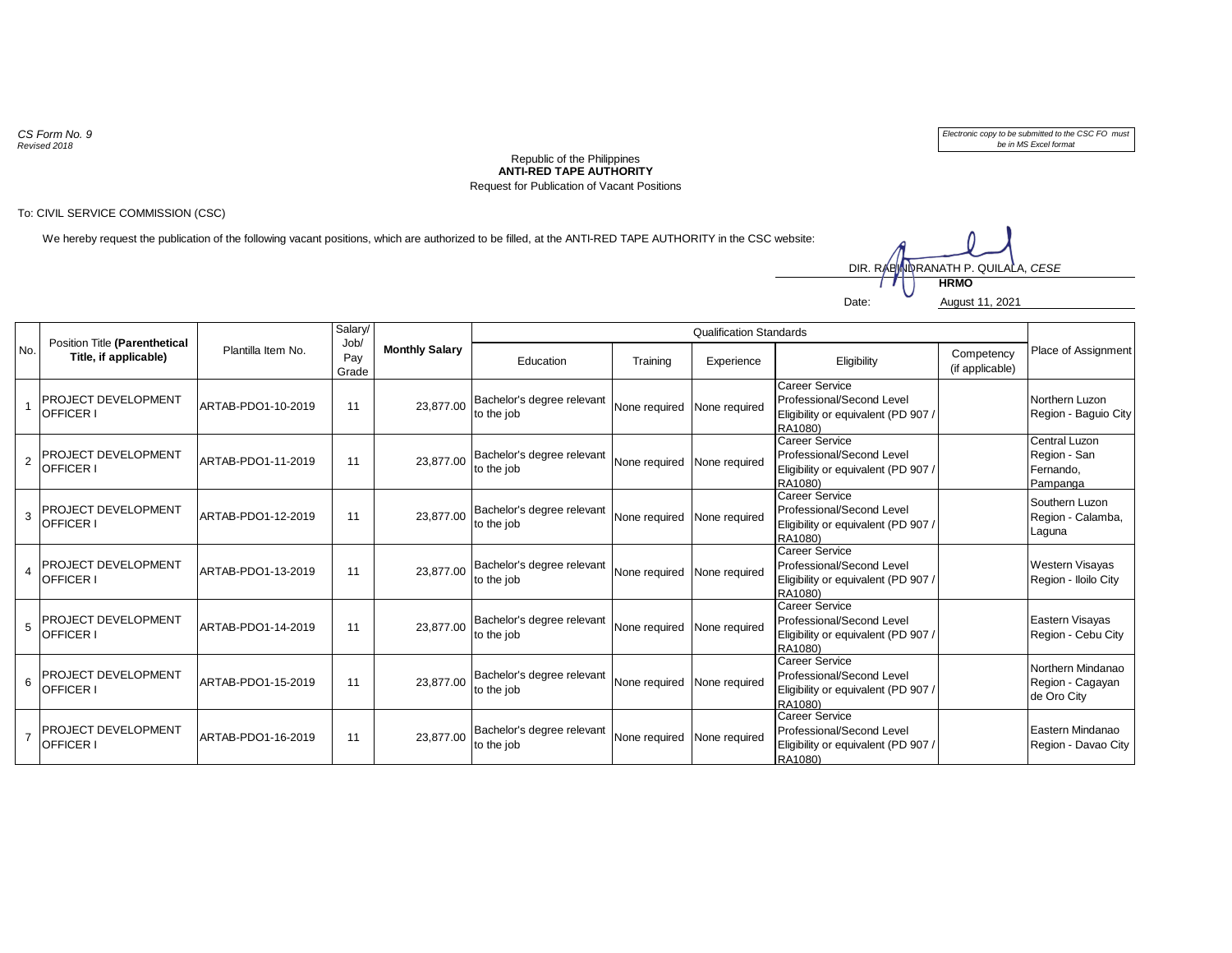*CS Form No. 9 Revised 2018*

*Electronic copy to be submitted to the CSC FO must be in MS Excel format*

## **ANTI-RED TAPE AUTHORITY** Republic of the Philippines Request for Publication of Vacant Positions

## To: CIVIL SERVICE COMMISSION (CSC)

We hereby request the publication of the following vacant positions, which are authorized to be filled, at the ANTI-RED TAPE AUTHORITY in the CSC website:



| No.            | Position Title (Parenthetical<br>Title, if applicable) | Plantilla Item No. | Salary/<br>Job/<br>Pay<br>Grade | <b>Monthly Salary</b> | <b>Qualification Standards</b>           |                             |            |                                                                                                      |                               |                                                        |
|----------------|--------------------------------------------------------|--------------------|---------------------------------|-----------------------|------------------------------------------|-----------------------------|------------|------------------------------------------------------------------------------------------------------|-------------------------------|--------------------------------------------------------|
|                |                                                        |                    |                                 |                       | Education                                | Training                    | Experience | Eligibility                                                                                          | Competency<br>(if applicable) | Place of Assignment                                    |
|                | PROJECT DEVELOPMENT<br><b>OFFICER I</b>                | ARTAB-PDO1-10-2019 | 11                              | 23.877.00             | Bachelor's degree relevant<br>to the job | None required None required |            | Career Service<br>Professional/Second Level<br>Eligibility or equivalent (PD 907)<br>RA1080)         |                               | Northern Luzon<br>Region - Baguio City                 |
| $\overline{2}$ | <b>PROJECT DEVELOPMENT</b><br>OFFICER I                | ARTAB-PDO1-11-2019 | 11                              | 23.877.00             | Bachelor's degree relevant<br>to the job | None required None required |            | <b>Career Service</b><br>Professional/Second Level<br>Eligibility or equivalent (PD 907 /<br>RA1080) |                               | Central Luzon<br>Region - San<br>Fernando,<br>Pampanga |
| 3              | PROJECT DEVELOPMENT<br><b>OFFICER I</b>                | ARTAB-PDO1-12-2019 | 11                              | 23.877.00             | Bachelor's degree relevant<br>to the job | None required None required |            | Career Service<br>Professional/Second Level<br>Eligibility or equivalent (PD 907)<br>RA1080)         |                               | Southern Luzon<br>Region - Calamba,<br>Laguna          |
| $\overline{A}$ | <b>PROJECT DEVELOPMENT</b><br><b>OFFICER I</b>         | ARTAB-PDO1-13-2019 | 11                              | 23.877.00             | Bachelor's degree relevant<br>to the job | None required None required |            | Career Service<br>Professional/Second Level<br>Eligibility or equivalent (PD 907)<br>RA1080)         |                               | Western Visayas<br>Region - Iloilo City                |
| 5              | PROJECT DEVELOPMENT<br>OFFICER I                       | ARTAB-PDO1-14-2019 | 11                              | 23.877.00             | Bachelor's degree relevant<br>to the job | None required None required |            | <b>Career Service</b><br>Professional/Second Level<br>Eligibility or equivalent (PD 907 /<br>RA1080) |                               | Eastern Visayas<br>Region - Cebu City                  |
| 6              | PROJECT DEVELOPMENT<br><b>OFFICER I</b>                | ARTAB-PDO1-15-2019 | 11                              | 23.877.00             | Bachelor's degree relevant<br>to the job | None required None required |            | Career Service<br>Professional/Second Level<br>Eligibility or equivalent (PD 907)<br>RA1080)         |                               | Northern Mindanao<br>Region - Cagayan<br>de Oro City   |
| $\overline{7}$ | <b>PROJECT DEVELOPMENT</b><br><b>OFFICER I</b>         | ARTAB-PDO1-16-2019 | 11                              | 23.877.00             | Bachelor's degree relevant<br>to the job | None required None required |            | Career Service<br>Professional/Second Level<br>Eligibility or equivalent (PD 907)<br>RA1080)         |                               | Eastern Mindanao<br>Region - Davao City                |